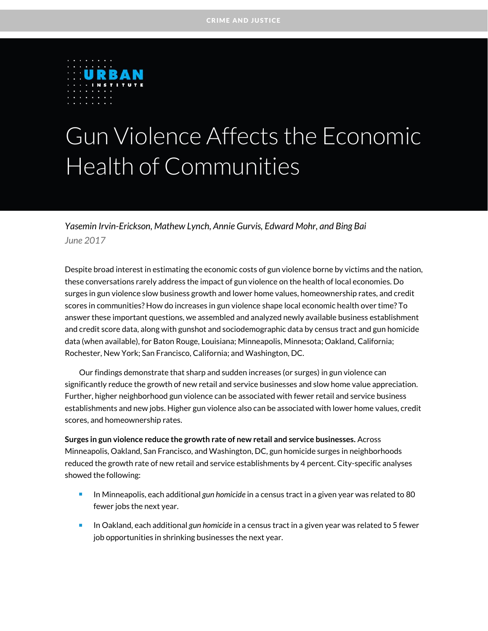

## Gun Violence Affects the Economic Health of Communities

*Yasemin Irvin-Erickson, Mathew Lynch, Annie Gurvis, Edward Mohr, and Bing Bai June 2017*

Despite broad interest in estimating the economic costs of gun violence borne by victims and the nation, these conversations rarely address the impact of gun violence on the health of local economies. Do surges in gun violence slow business growth and lower home values, homeownership rates, and credit scores in communities? How do increases in gun violence shape local economic health over time? To answer these important questions, we assembled and analyzed newly available business establishment and credit score data, along with gunshot and sociodemographic data by census tract and gun homicide data (when available), for Baton Rouge, Louisiana; Minneapolis, Minnesota; Oakland, California; Rochester, New York; San Francisco, California; and Washington, DC.

Our findings demonstrate that sharp and sudden increases (or surges) in gun violence can significantly reduce the growth of new retail and service businesses and slow home value appreciation. Further, higher neighborhood gun violence can be associated with fewer retail and service business establishments and new jobs. Higher gun violence also can be associated with lower home values, credit scores, and homeownership rates.

**Surges in gun violence reduce the growth rate of new retail and service businesses.** Across Minneapolis, Oakland, San Francisco, and Washington, DC, gun homicide surges in neighborhoods reduced the growth rate of new retail and service establishments by 4 percent. City-specific analyses showed the following:

- In Minneapolis, each additional *gun homicide* in a census tract in a given year was related to 80 fewer jobs the next year.
- In Oakland, each additional *gun homicide* in a census tract in a given year was related to 5 fewer job opportunities in shrinking businesses the next year.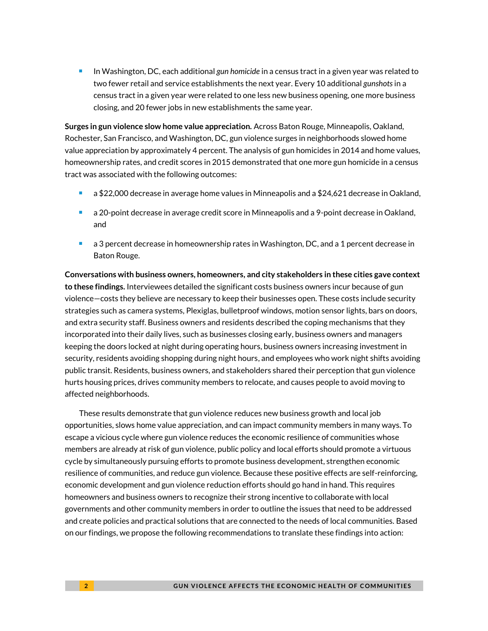**IDE 10. In Washington, DC, each additional** *gun homicide* **in a census tract in a given year was related to** two fewer retail and service establishments the next year. Every 10 additional *gunshots* in a census tract in a given year were related to one less new business opening, one more business closing, and 20 fewer jobs in new establishments the same year.

**Surges in gun violence slow home value appreciation.** Across Baton Rouge, Minneapolis, Oakland, Rochester, San Francisco, and Washington, DC, gun violence surges in neighborhoods slowed home value appreciation by approximately 4 percent. The analysis of gun homicides in 2014 and home values, homeownership rates, and credit scores in 2015 demonstrated that one more gun homicide in a census tract was associated with the following outcomes:

- a \$22,000 decrease in average home values in Minneapolis and a \$24,621 decrease in Oakland,
- a 20-point decrease in average credit score in Minneapolis and a 9-point decrease in Oakland, and
- a 3 percent decrease in homeownership rates in Washington, DC, and a 1 percent decrease in Baton Rouge.

**Conversations with business owners, homeowners, and city stakeholders in these cities gave context to these findings.** Interviewees detailed the significant costs business owners incur because of gun violence—costs they believe are necessary to keep their businesses open. These costs include security strategies such as camera systems, Plexiglas, bulletproof windows, motion sensor lights, bars on doors, and extra security staff. Business owners and residents described the coping mechanisms that they incorporated into their daily lives, such as businesses closing early, business owners and managers keeping the doors locked at night during operating hours, business owners increasing investment in security, residents avoiding shopping during night hours, and employees who work night shifts avoiding public transit. Residents, business owners, and stakeholders shared their perception that gun violence hurts housing prices, drives community members to relocate, and causes people to avoid moving to affected neighborhoods.

These results demonstrate that gun violence reduces new business growth and local job opportunities, slows home value appreciation, and can impact community members in many ways. To escape a vicious cycle where gun violence reduces the economic resilience of communities whose members are already at risk of gun violence, public policy and local efforts should promote a virtuous cycle by simultaneously pursuing efforts to promote business development, strengthen economic resilience of communities, and reduce gun violence. Because these positive effects are self-reinforcing, economic development and gun violence reduction efforts should go hand in hand. This requires homeowners and business owners to recognize their strong incentive to collaborate with local governments and other community members in order to outline the issues that need to be addressed and create policies and practical solutions that are connected to the needs of local communities. Based on our findings, we propose the following recommendations to translate these findings into action: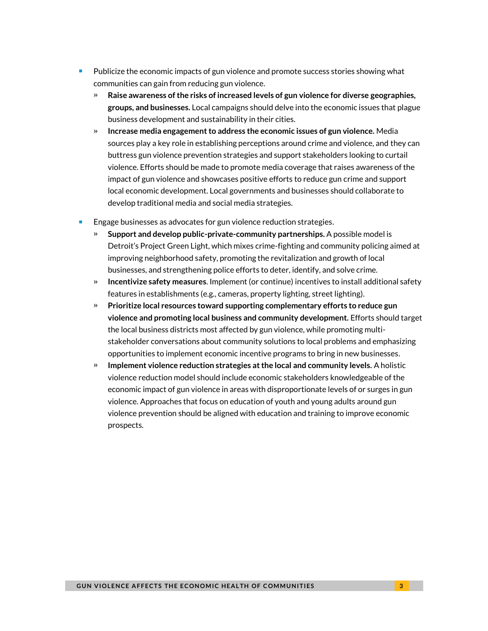- Publicize the economic impacts of gun violence and promote success stories showing what communities can gain from reducing gun violence.
	- » **Raise awareness of the risks of increased levels of gun violence for diverse geographies, groups, and businesses.** Local campaigns should delve into the economic issues that plague business development and sustainability in their cities.
	- » **Increase media engagement to address the economic issues of gun violence.** Media sources play a key role in establishing perceptions around crime and violence, and they can buttress gun violence prevention strategies and support stakeholders looking to curtail violence. Efforts should be made to promote media coverage that raises awareness of the impact of gun violence and showcases positive efforts to reduce gun crime and support local economic development. Local governments and businesses should collaborate to develop traditional media and social media strategies.
- Engage businesses as advocates for gun violence reduction strategies.
	- » **Support and develop public-private-community partnerships.** A possible model is Detroit's Project Green Light, which mixes crime-fighting and community policing aimed at improving neighborhood safety, promoting the revitalization and growth of local businesses, and strengthening police efforts to deter, identify, and solve crime.
	- » **Incentivize safety measures**. Implement (or continue) incentives to install additional safety features in establishments (e.g., cameras, property lighting, street lighting).
	- » **Prioritize local resources toward supporting complementary efforts to reduce gun violence and promoting local business and community development.** Efforts should target the local business districts most affected by gun violence, while promoting multistakeholder conversations about community solutions to local problems and emphasizing opportunities to implement economic incentive programs to bring in new businesses.
	- » **Implement violence reduction strategies at the local and community levels.** A holistic violence reduction model should include economic stakeholders knowledgeable of the economic impact of gun violence in areas with disproportionate levels of or surges in gun violence. Approaches that focus on education of youth and young adults around gun violence prevention should be aligned with education and training to improve economic prospects.